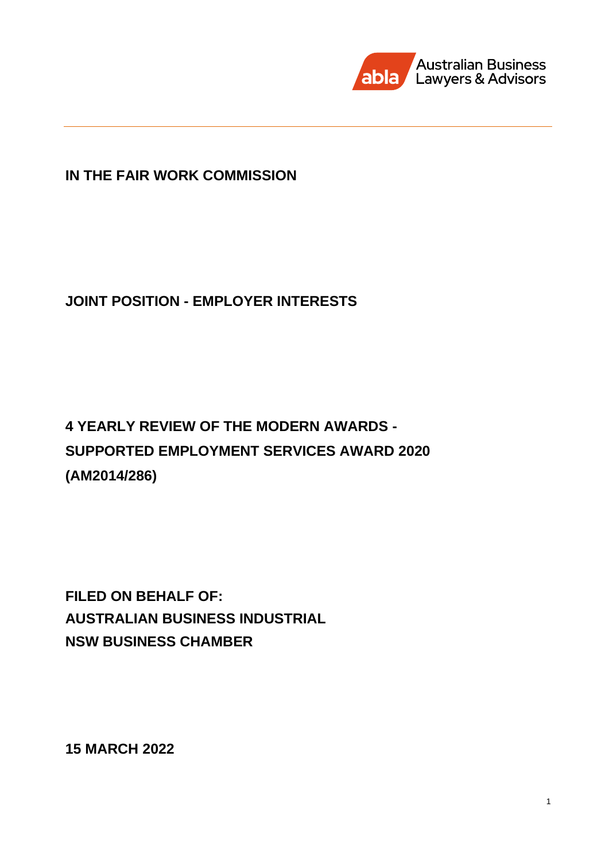

# **IN THE FAIR WORK COMMISSION**

# **JOINT POSITION - EMPLOYER INTERESTS**

# **4 YEARLY REVIEW OF THE MODERN AWARDS - SUPPORTED EMPLOYMENT SERVICES AWARD 2020 (AM2014/286)**

**FILED ON BEHALF OF: AUSTRALIAN BUSINESS INDUSTRIAL NSW BUSINESS CHAMBER** 

**15 MARCH 2022**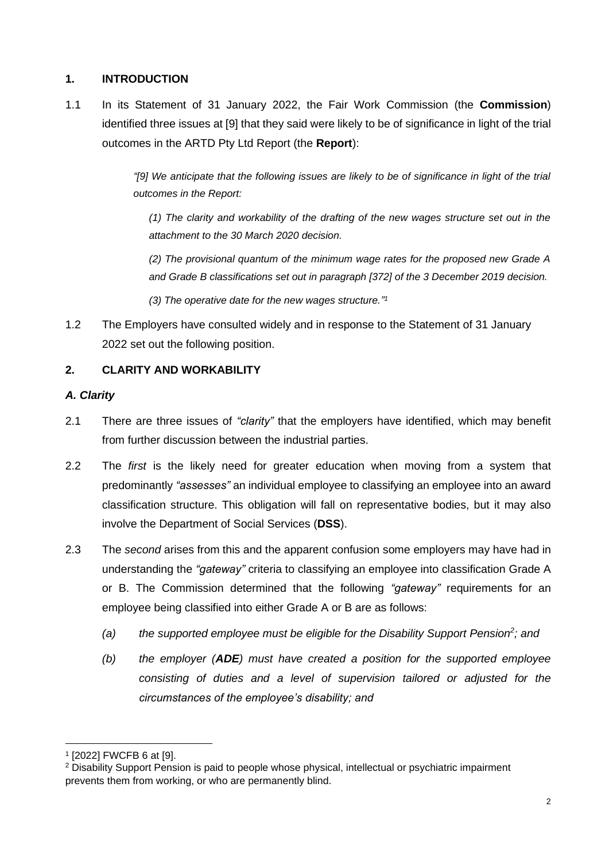### **1. INTRODUCTION**

1.1 In its Statement of 31 January 2022, the Fair Work Commission (the **Commission**) identified three issues at [9] that they said were likely to be of significance in light of the trial outcomes in the ARTD Pty Ltd Report (the **Report**):

> *"[9] We anticipate that the following issues are likely to be of significance in light of the trial outcomes in the Report:*

*(1) The clarity and workability of the drafting of the new wages structure set out in the attachment to the 30 March 2020 decision.* 

*(2) The provisional quantum of the minimum wage rates for the proposed new Grade A and Grade B classifications set out in paragraph [372] of the 3 December 2019 decision.* 

*(3) The operative date for the new wages structure." 1*

1.2 The Employers have consulted widely and in response to the Statement of 31 January 2022 set out the following position.

# **2. CLARITY AND WORKABILITY**

#### *A. Clarity*

- 2.1 There are three issues of *"clarity"* that the employers have identified, which may benefit from further discussion between the industrial parties.
- 2.2 The *first* is the likely need for greater education when moving from a system that predominantly *"assesses"* an individual employee to classifying an employee into an award classification structure. This obligation will fall on representative bodies, but it may also involve the Department of Social Services (**DSS**).
- 2.3 The *second* arises from this and the apparent confusion some employers may have had in understanding the *"gateway"* criteria to classifying an employee into classification Grade A or B. The Commission determined that the following *"gateway"* requirements for an employee being classified into either Grade A or B are as follows:
	- *(a) the supported employee must be eligible for the Disability Support Pension<sup>2</sup> ; and*
	- *(b) the employer (ADE) must have created a position for the supported employee consisting of duties and a level of supervision tailored or adjusted for the circumstances of the employee's disability; and*

<sup>1</sup> [2022] FWCFB 6 at [9].

<sup>2</sup> Disability Support Pension is paid to people whose physical, intellectual or psychiatric impairment prevents them from working, or who are permanently blind.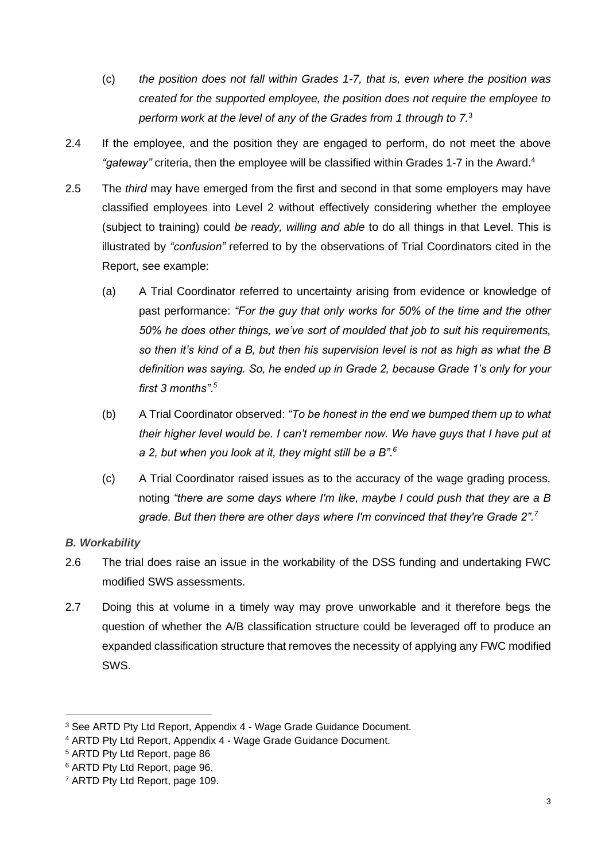- (c) *the position does not fall within Grades 1-7, that is, even where the position was created for the supported employee, the position does not require the employee to perform work at the level of any of the Grades from 1 through to 7.*<sup>3</sup>
- 2.4 If the employee, and the position they are engaged to perform, do not meet the above *"gateway"* criteria, then the employee will be classified within Grades 1-7 in the Award.<sup>4</sup>
- 2.5 The *third* may have emerged from the first and second in that some employers may have classified employees into Level 2 without effectively considering whether the employee (subject to training) could *be ready, willing and able* to do all things in that Level. This is illustrated by *"confusion"* referred to by the observations of Trial Coordinators cited in the Report, see example:
	- (a) A Trial Coordinator referred to uncertainty arising from evidence or knowledge of past performance: *"For the guy that only works for 50% of the time and the other 50% he does other things, we've sort of moulded that job to suit his requirements, so then it's kind of a B, but then his supervision level is not as high as what the B definition was saying. So, he ended up in Grade 2, because Grade 1's only for your first 3 months"*. *5*
	- (b) A Trial Coordinator observed: *"To be honest in the end we bumped them up to what their higher level would be. I can't remember now. We have guys that I have put at a 2, but when you look at it, they might still be a B".<sup>6</sup>*
	- (c) A Trial Coordinator raised issues as to the accuracy of the wage grading process, noting *"there are some days where I'm like, maybe I could push that they are a B grade. But then there are other days where I'm convinced that they're Grade 2".<sup>7</sup>*

# *B. Workability*

- 2.6 The trial does raise an issue in the workability of the DSS funding and undertaking FWC modified SWS assessments.
- 2.7 Doing this at volume in a timely way may prove unworkable and it therefore begs the question of whether the A/B classification structure could be leveraged off to produce an expanded classification structure that removes the necessity of applying any FWC modified SWS.

<sup>&</sup>lt;sup>3</sup> See ARTD Pty Ltd Report, Appendix 4 - Wage Grade Guidance Document.

<sup>4</sup> ARTD Pty Ltd Report, Appendix 4 - Wage Grade Guidance Document.

<sup>5</sup> ARTD Pty Ltd Report, page 86

<sup>6</sup> ARTD Pty Ltd Report, page 96.

<sup>7</sup> ARTD Pty Ltd Report, page 109.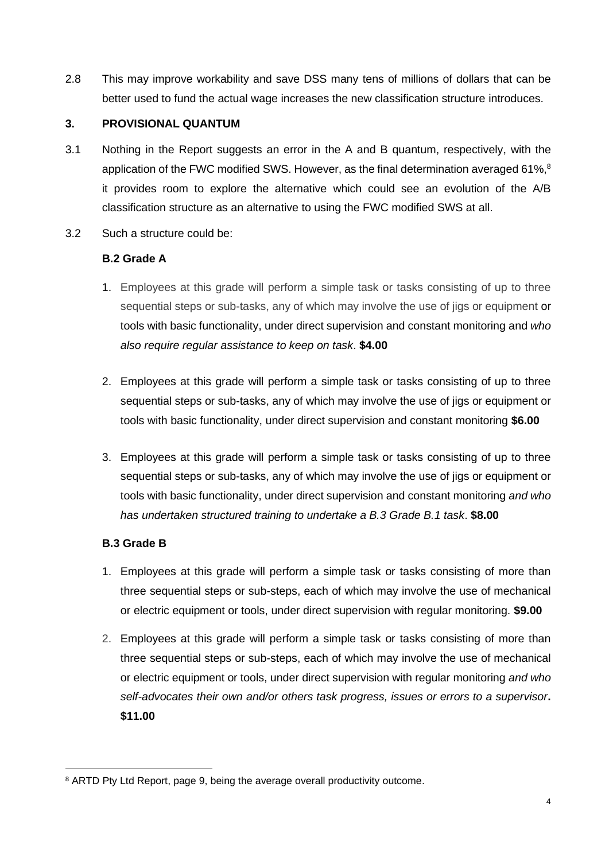2.8 This may improve workability and save DSS many tens of millions of dollars that can be better used to fund the actual wage increases the new classification structure introduces.

#### **3. PROVISIONAL QUANTUM**

- 3.1 Nothing in the Report suggests an error in the A and B quantum, respectively, with the application of the FWC modified SWS. However, as the final determination averaged 61%, $^8$ it provides room to explore the alternative which could see an evolution of the A/B classification structure as an alternative to using the FWC modified SWS at all.
- 3.2 Such a structure could be:

## **B.2 Grade A**

- 1. Employees at this grade will perform a simple task or tasks consisting of up to three sequential steps or sub-tasks, any of which may involve the use of jigs or equipment or tools with basic functionality, under direct supervision and constant monitoring and *who also require regular assistance to keep on task*. **\$4.00**
- 2. Employees at this grade will perform a simple task or tasks consisting of up to three sequential steps or sub-tasks, any of which may involve the use of jigs or equipment or tools with basic functionality, under direct supervision and constant monitoring **\$6.00**
- 3. Employees at this grade will perform a simple task or tasks consisting of up to three sequential steps or sub-tasks, any of which may involve the use of jigs or equipment or tools with basic functionality, under direct supervision and constant monitoring *and who has undertaken structured training to undertake a B.3 Grade B.1 task*. **\$8.00**

# **B.3 Grade B**

- 1. Employees at this grade will perform a simple task or tasks consisting of more than three sequential steps or sub-steps, each of which may involve the use of mechanical or electric equipment or tools, under direct supervision with regular monitoring. **\$9.00**
- 2. Employees at this grade will perform a simple task or tasks consisting of more than three sequential steps or sub-steps, each of which may involve the use of mechanical or electric equipment or tools, under direct supervision with regular monitoring *and who self-advocates their own and/or others task progress, issues or errors to a supervisor***. \$11.00**

<sup>&</sup>lt;sup>8</sup> ARTD Pty Ltd Report, page 9, being the average overall productivity outcome.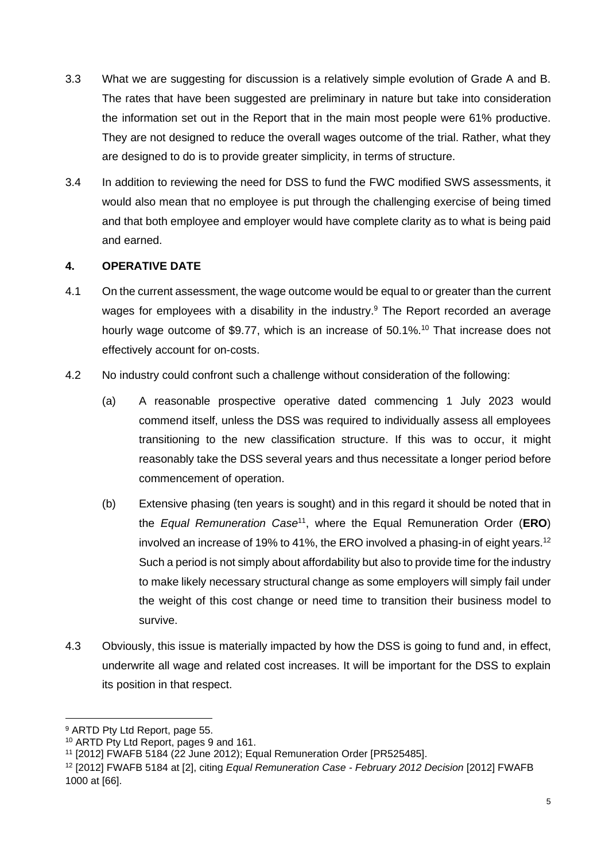- 3.3 What we are suggesting for discussion is a relatively simple evolution of Grade A and B. The rates that have been suggested are preliminary in nature but take into consideration the information set out in the Report that in the main most people were 61% productive. They are not designed to reduce the overall wages outcome of the trial. Rather, what they are designed to do is to provide greater simplicity, in terms of structure.
- 3.4 In addition to reviewing the need for DSS to fund the FWC modified SWS assessments, it would also mean that no employee is put through the challenging exercise of being timed and that both employee and employer would have complete clarity as to what is being paid and earned.

#### **4. OPERATIVE DATE**

- 4.1 On the current assessment, the wage outcome would be equal to or greater than the current wages for employees with a disability in the industry. <sup>9</sup> The Report recorded an average hourly wage outcome of \$9.77, which is an increase of 50.1%.<sup>10</sup> That increase does not effectively account for on-costs.
- 4.2 No industry could confront such a challenge without consideration of the following:
	- (a) A reasonable prospective operative dated commencing 1 July 2023 would commend itself, unless the DSS was required to individually assess all employees transitioning to the new classification structure. If this was to occur, it might reasonably take the DSS several years and thus necessitate a longer period before commencement of operation.
	- (b) Extensive phasing (ten years is sought) and in this regard it should be noted that in the *Equal Remuneration Case*<sup>11</sup> , where the Equal Remuneration Order (**ERO**) involved an increase of 19% to 41%, the ERO involved a phasing-in of eight years.<sup>12</sup> Such a period is not simply about affordability but also to provide time for the industry to make likely necessary structural change as some employers will simply fail under the weight of this cost change or need time to transition their business model to survive.
- 4.3 Obviously, this issue is materially impacted by how the DSS is going to fund and, in effect, underwrite all wage and related cost increases. It will be important for the DSS to explain its position in that respect.

<sup>9</sup> ARTD Pty Ltd Report, page 55.

<sup>10</sup> ARTD Pty Ltd Report, pages 9 and 161.

<sup>11</sup> [2012] FWAFB 5184 (22 June 2012); Equal Remuneration Order [PR525485].

<sup>12</sup> [2012] FWAFB 5184 at [2], citing *Equal Remuneration Case - February 2012 Decision* [2012] FWAFB 1000 at [66].